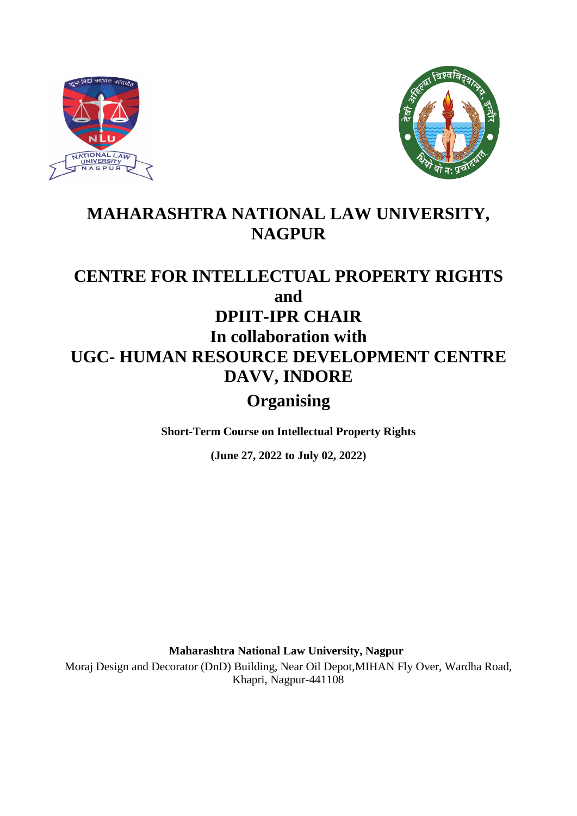



# **MAHARASHTRA NATIONAL LAW UNIVERSITY, NAGPUR**

# **CENTRE FOR INTELLECTUAL PROPERTY RIGHTS and DPIIT-IPR CHAIR In collaboration with UGC- HUMAN RESOURCE DEVELOPMENT CENTRE DAVV, INDORE**

# **Organising**

**Short-Term Course on Intellectual Property Rights**

**(June 27, 2022 to July 02, 2022)**

**Maharashtra National Law University, Nagpur**

Moraj Design and Decorator (DnD) Building, Near Oil Depot,MIHAN Fly Over, Wardha Road, Khapri, Nagpur-441108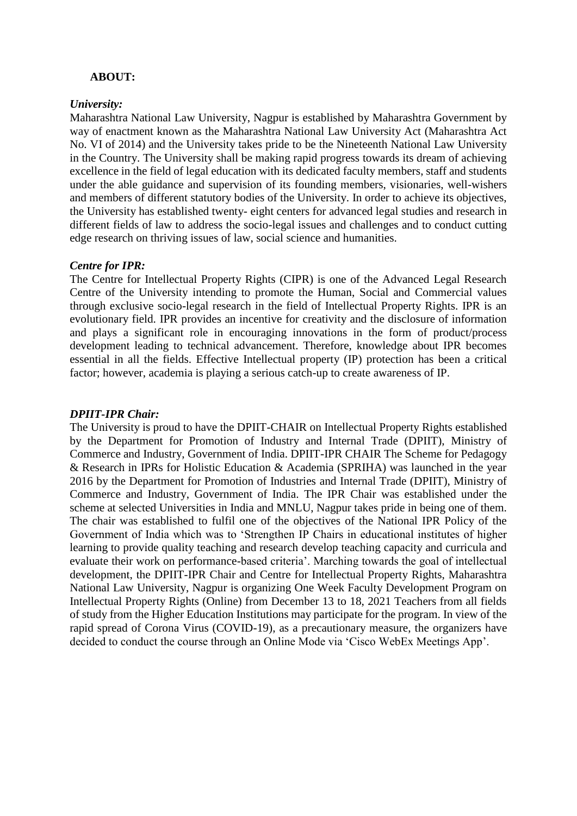### **ABOUT:**

#### *University:*

Maharashtra National Law University, Nagpur is established by Maharashtra Government by way of enactment known as the Maharashtra National Law University Act (Maharashtra Act No. VI of 2014) and the University takes pride to be the Nineteenth National Law University in the Country. The University shall be making rapid progress towards its dream of achieving excellence in the field of legal education with its dedicated faculty members, staff and students under the able guidance and supervision of its founding members, visionaries, well-wishers and members of different statutory bodies of the University. In order to achieve its objectives, the University has established twenty- eight centers for advanced legal studies and research in different fields of law to address the socio-legal issues and challenges and to conduct cutting edge research on thriving issues of law, social science and humanities.

#### *Centre for IPR:*

The Centre for Intellectual Property Rights (CIPR) is one of the Advanced Legal Research Centre of the University intending to promote the Human, Social and Commercial values through exclusive socio-legal research in the field of Intellectual Property Rights. IPR is an evolutionary field. IPR provides an incentive for creativity and the disclosure of information and plays a significant role in encouraging innovations in the form of product/process development leading to technical advancement. Therefore, knowledge about IPR becomes essential in all the fields. Effective Intellectual property (IP) protection has been a critical factor; however, academia is playing a serious catch-up to create awareness of IP.

#### *DPIIT-IPR Chair:*

The University is proud to have the DPIIT-CHAIR on Intellectual Property Rights established by the Department for Promotion of Industry and Internal Trade (DPIIT), Ministry of Commerce and Industry, Government of India. DPIIT-IPR CHAIR The Scheme for Pedagogy & Research in IPRs for Holistic Education & Academia (SPRIHA) was launched in the year 2016 by the Department for Promotion of Industries and Internal Trade (DPIIT), Ministry of Commerce and Industry, Government of India. The IPR Chair was established under the scheme at selected Universities in India and MNLU, Nagpur takes pride in being one of them. The chair was established to fulfil one of the objectives of the National IPR Policy of the Government of India which was to 'Strengthen IP Chairs in educational institutes of higher learning to provide quality teaching and research develop teaching capacity and curricula and evaluate their work on performance-based criteria'. Marching towards the goal of intellectual development, the DPIIT-IPR Chair and Centre for Intellectual Property Rights, Maharashtra National Law University, Nagpur is organizing One Week Faculty Development Program on Intellectual Property Rights (Online) from December 13 to 18, 2021 Teachers from all fields of study from the Higher Education Institutions may participate for the program. In view of the rapid spread of Corona Virus (COVID-19), as a precautionary measure, the organizers have decided to conduct the course through an Online Mode via 'Cisco WebEx Meetings App'.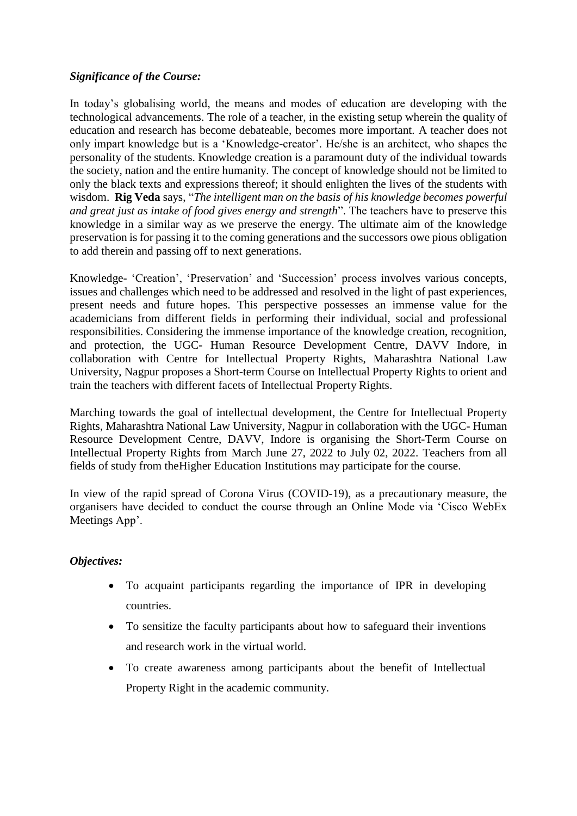### *Significance of the Course:*

In today's globalising world, the means and modes of education are developing with the technological advancements. The role of a teacher, in the existing setup wherein the quality of education and research has become debateable, becomes more important. A teacher does not only impart knowledge but is a 'Knowledge-creator'. He/she is an architect, who shapes the personality of the students. Knowledge creation is a paramount duty of the individual towards the society, nation and the entire humanity. The concept of knowledge should not be limited to only the black texts and expressions thereof; it should enlighten the lives of the students with wisdom. **Rig Veda** says, "*The intelligent man on the basis of his knowledge becomes powerful and great just as intake of food gives energy and strength*". The teachers have to preserve this knowledge in a similar way as we preserve the energy. The ultimate aim of the knowledge preservation is for passing it to the coming generations and the successors owe pious obligation to add therein and passing off to next generations.

Knowledge- 'Creation', 'Preservation' and 'Succession' process involves various concepts, issues and challenges which need to be addressed and resolved in the light of past experiences, present needs and future hopes. This perspective possesses an immense value for the academicians from different fields in performing their individual, social and professional responsibilities. Considering the immense importance of the knowledge creation, recognition, and protection, the UGC- Human Resource Development Centre, DAVV Indore, in collaboration with Centre for Intellectual Property Rights, Maharashtra National Law University, Nagpur proposes a Short-term Course on Intellectual Property Rights to orient and train the teachers with different facets of Intellectual Property Rights.

Marching towards the goal of intellectual development, the Centre for Intellectual Property Rights, Maharashtra National Law University, Nagpur in collaboration with the UGC- Human Resource Development Centre, DAVV, Indore is organising the Short-Term Course on Intellectual Property Rights from March June 27, 2022 to July 02, 2022. Teachers from all fields of study from theHigher Education Institutions may participate for the course.

In view of the rapid spread of Corona Virus (COVID-19), as a precautionary measure, the organisers have decided to conduct the course through an Online Mode via 'Cisco WebEx Meetings App'.

### *Objectives:*

- To acquaint participants regarding the importance of IPR in developing countries.
- To sensitize the faculty participants about how to safeguard their inventions and research work in the virtual world.
- To create awareness among participants about the benefit of Intellectual Property Right in the academic community.